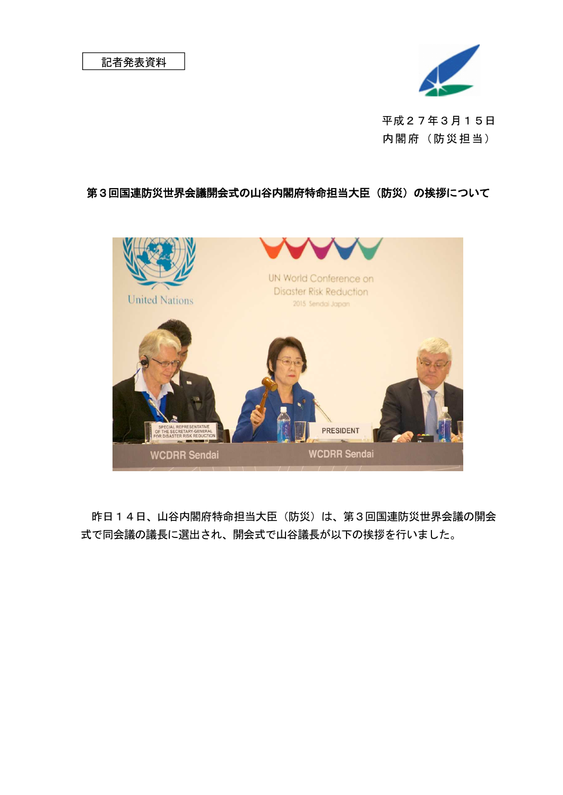

平成27年3月15日 内閣府(防災担当)

## 第3回国連防災世界会議開会式の山谷内閣府特命担当大臣(防災)の挨拶について



昨日14日、山谷内閣府特命担当大臣(防災)は、第3回国連防災世界会議の開会 式で同会議の議長に選出され、開会式で山谷議長が以下の挨拶を行いました。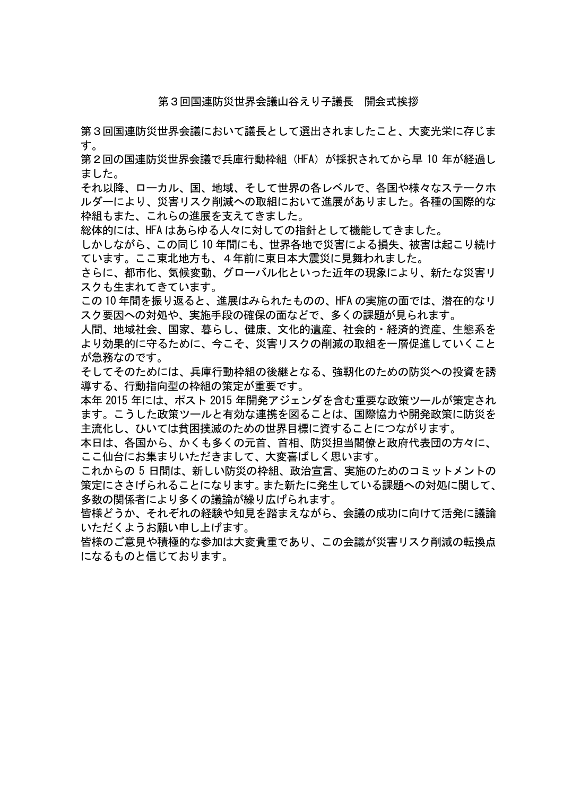## 第3回国連防災世界会議山谷えり子議長 開会式挨拶

第3回国連防災世界会議において議長として選出されましたこと、大変光栄に存じま す。

第2回の国連防災世界会議で兵庫行動枠組(HFA)が採択されてから早 10 年が経過し ました。

それ以降、ローカル、国、地域、そして世界の各レベルで、各国や様々なステークホ ルダーにより、災害リスク削減への取組において進展がありました。各種の国際的な 枠組もまた、これらの進展を支えてきました。

総体的には、HFA はあらゆる人々に対しての指針として機能してきました。

しかしながら、この同じ 10 年間にも、世界各地で災害による損失、被害は起こり続け ています。ここ東北地方も、4年前に東日本大震災に見舞われました。

さらに、都市化、気候変動、グローバル化といった近年の現象により、新たな災害リ スクも生まれてきています。

この 10 年間を振り返ると、進展はみられたものの、HFA の実施の面では、潜在的なリ スク要因への対処や、実施手段の確保の面などで、多くの課題が見られます。

人間、地域社会、国家、暮らし、健康、文化的遺産、社会的・経済的資産、生態系を より効果的に守るために、今こそ、災害リスクの削減の取組を一層促進していくこと が急務なのです。

そしてそのためには、兵庫行動枠組の後継となる、強靭化のための防災への投資を誘 導する、行動指向型の枠組の策定が重要です。

本年 2015 年には、ポスト 2015 年開発アジェンダを含む重要な政策ツールが策定され ます。こうした政策ツールと有効な連携を図ることは、国際協力や開発政策に防災を 主流化し、ひいては貧困撲滅のための世界目標に資することにつながります。

本日は、各国から、かくも多くの元首、首相、防災担当閣僚と政府代表団の方々に、 ここ仙台にお集まりいただきまして、大変喜ばしく思います。

これからの 5 日間は、新しい防災の枠組、政治宣言、実施のためのコミットメントの 策定にささげられることになります。また新たに発生している課題への対処に関して、 多数の関係者により多くの議論が繰り広げられます。

皆様どうか、それぞれの経験や知見を踏まえながら、会議の成功に向けて活発に議論 いただくようお願い申し上げます。

皆様のご意見や積極的な参加は大変貴重であり、この会議が災害リスク削減の転換点 になるものと信じております。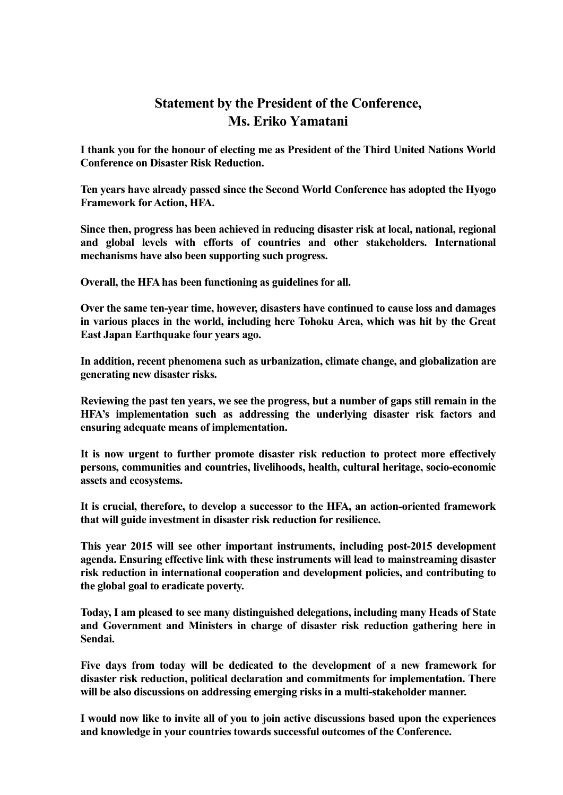## **Statement by the President of the Conference, Ms. Eriko Yamatani**

**I thank you for the honour of electing me as President of the Third United Nations World Conference on Disaster Risk Reduction.**

**Ten years have already passed since the Second World Conference has adopted the Hyogo Framework for Action, HFA.** 

**Since then, progress has been achieved in reducing disaster risk at local, national, regional and global levels with efforts of countries and other stakeholders. International mechanisms have also been supporting such progress.**

**Overall, the HFA has been functioning as guidelines for all.**

**Over the same ten-year time, however, disasters have continued to cause loss and damages in various places in the world, including here Tohoku Area, which was hit by the Great East Japan Earthquake four years ago.**

**In addition, recent phenomena such as urbanization, climate change, and globalization are generating new disaster risks.**

**Reviewing the past ten years, we see the progress, but a number of gaps still remain in the HFA's implementation such as addressing the underlying disaster risk factors and ensuring adequate means of implementation.**

**It is now urgent to further promote disaster risk reduction to protect more effectively persons, communities and countries, livelihoods, health, cultural heritage, socio-economic assets and ecosystems.**

**It is crucial, therefore, to develop a successor to the HFA, an action-oriented framework that will guide investment in disaster risk reduction for resilience.**

**This year 2015 will see other important instruments, including post-2015 development agenda. Ensuring effective link with these instruments will lead to mainstreaming disaster risk reduction in international cooperation and development policies, and contributing to the global goal to eradicate poverty.**

**Today, I am pleased to see many distinguished delegations, including many Heads of State and Government and Ministers in charge of disaster risk reduction gathering here in Sendai.**

**Five days from today will be dedicated to the development of a new framework for disaster risk reduction, political declaration and commitments for implementation. There will be also discussions on addressing emerging risks in a multi-stakeholder manner.**

**I would now like to invite all of you to join active discussions based upon the experiences and knowledge in your countries towards successful outcomes of the Conference.**